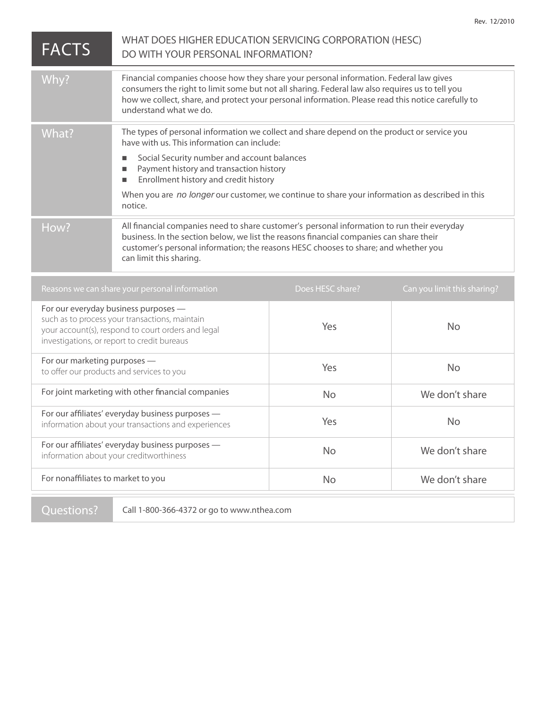| <b>FACTS</b>                                                                                                                                                                                | WHAT DOES HIGHER EDUCATION SERVICING CORPORATION (HESC)<br>DO WITH YOUR PERSONAL INFORMATION?                                                                                                                                                                                                                             |                  |                             |
|---------------------------------------------------------------------------------------------------------------------------------------------------------------------------------------------|---------------------------------------------------------------------------------------------------------------------------------------------------------------------------------------------------------------------------------------------------------------------------------------------------------------------------|------------------|-----------------------------|
| Why?                                                                                                                                                                                        | Financial companies choose how they share your personal information. Federal law gives<br>consumers the right to limit some but not all sharing. Federal law also requires us to tell you<br>how we collect, share, and protect your personal information. Please read this notice carefully to<br>understand what we do. |                  |                             |
| What?                                                                                                                                                                                       | The types of personal information we collect and share depend on the product or service you<br>have with us. This information can include:<br>Social Security number and account balances<br>$\Box$<br>Payment history and transaction history<br>L.<br>Enrollment history and credit history<br>L.                       |                  |                             |
|                                                                                                                                                                                             | When you are no longer our customer, we continue to share your information as described in this<br>notice.                                                                                                                                                                                                                |                  |                             |
| How?                                                                                                                                                                                        | All financial companies need to share customer's personal information to run their everyday<br>business. In the section below, we list the reasons financial companies can share their<br>customer's personal information; the reasons HESC chooses to share; and whether you<br>can limit this sharing.                  |                  |                             |
| Reasons we can share your personal information                                                                                                                                              |                                                                                                                                                                                                                                                                                                                           | Does HESC share? | Can you limit this sharing? |
| For our everyday business purposes -<br>such as to process your transactions, maintain<br>your account(s), respond to court orders and legal<br>investigations, or report to credit bureaus |                                                                                                                                                                                                                                                                                                                           | Yes              | <b>No</b>                   |
| For our marketing purposes -<br>to offer our products and services to you                                                                                                                   |                                                                                                                                                                                                                                                                                                                           | Yes              | <b>No</b>                   |
| For joint marketing with other financial companies                                                                                                                                          |                                                                                                                                                                                                                                                                                                                           | <b>No</b>        | We don't share              |
| For our affiliates' everyday business purposes -<br>information about your transactions and experiences                                                                                     |                                                                                                                                                                                                                                                                                                                           | Yes              | <b>No</b>                   |
| For our affiliates' everyday business purposes -<br>information about your creditworthiness                                                                                                 |                                                                                                                                                                                                                                                                                                                           | <b>No</b>        | We don't share              |
| For nonaffiliates to market to you                                                                                                                                                          |                                                                                                                                                                                                                                                                                                                           | <b>No</b>        | We don't share              |
|                                                                                                                                                                                             |                                                                                                                                                                                                                                                                                                                           |                  |                             |

**Questions?** Call 1-800-366-4372 or go to www.nthea.com